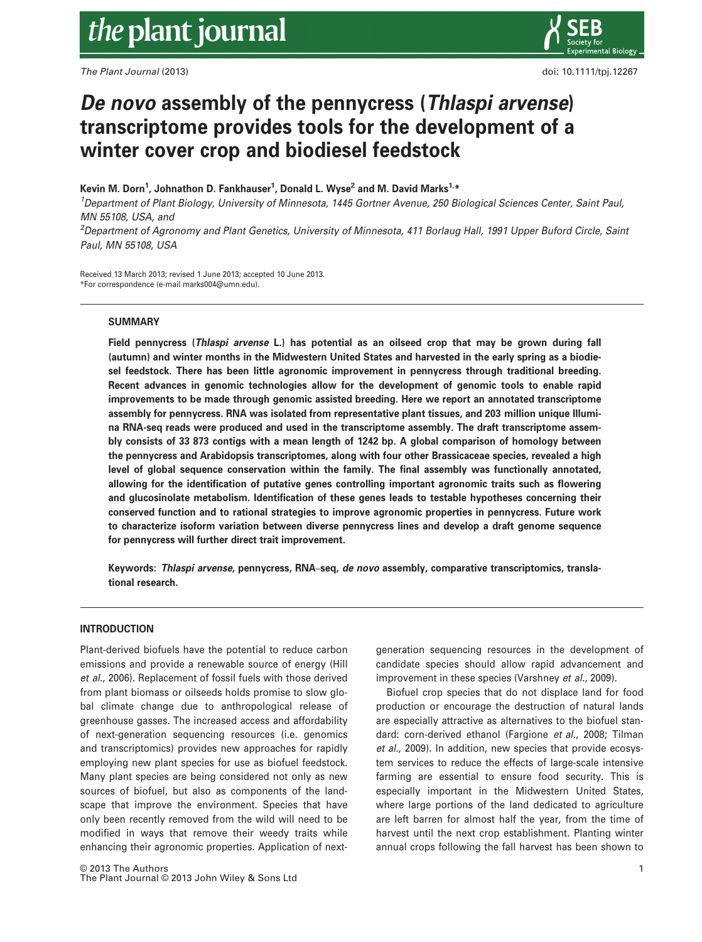The Plant Journal (2013) **doi:** 10.1111/tpj.12267



# De novo assembly of the pennycress (Thlaspi arvense) transcriptome provides tools for the development of a winter cover crop and biodiesel feedstock

# Kevin M. Dorn<sup>1</sup>, Johnathon D. Fankhauser<sup>1</sup>, Donald L. Wyse<sup>2</sup> and M. David Marks<sup>1,</sup>\*

<sup>1</sup>Department of Plant Biology, University of Minnesota, 1445 Gortner Avenue, 250 Biological Sciences Center, Saint Paul, MN 55108, USA, and

2 Department of Agronomy and Plant Genetics, University of Minnesota, 411 Borlaug Hall, 1991 Upper Buford Circle, Saint Paul, MN 55108, USA

Received 13 March 2013; revised 1 June 2013; accepted 10 June 2013. \*For correspondence (e-mail marks004@umn.edu).

# **SUMMARY**

Field pennycress (Thlaspi arvense L.) has potential as an oilseed crop that may be grown during fall (autumn) and winter months in the Midwestern United States and harvested in the early spring as a biodiesel feedstock. There has been little agronomic improvement in pennycress through traditional breeding. Recent advances in genomic technologies allow for the development of genomic tools to enable rapid improvements to be made through genomic assisted breeding. Here we report an annotated transcriptome assembly for pennycress. RNA was isolated from representative plant tissues, and 203 million unique Illumina RNA-seq reads were produced and used in the transcriptome assembly. The draft transcriptome assembly consists of 33 873 contigs with a mean length of 1242 bp. A global comparison of homology between the pennycress and Arabidopsis transcriptomes, along with four other Brassicaceae species, revealed a high level of global sequence conservation within the family. The final assembly was functionally annotated, allowing for the identification of putative genes controlling important agronomic traits such as flowering and glucosinolate metabolism. Identification of these genes leads to testable hypotheses concerning their conserved function and to rational strategies to improve agronomic properties in pennycress. Future work to characterize isoform variation between diverse pennycress lines and develop a draft genome sequence for pennycress will further direct trait improvement.

Keywords: Thlaspi arvense, pennycress, RNA–seq, de novo assembly, comparative transcriptomics, translational research.

## INTRODUCTION

Plant-derived biofuels have the potential to reduce carbon emissions and provide a renewable source of energy (Hill et al., 2006). Replacement of fossil fuels with those derived from plant biomass or oilseeds holds promise to slow global climate change due to anthropological release of greenhouse gasses. The increased access and affordability of next-generation sequencing resources (i.e. genomics and transcriptomics) provides new approaches for rapidly employing new plant species for use as biofuel feedstock. Many plant species are being considered not only as new sources of biofuel, but also as components of the landscape that improve the environment. Species that have only been recently removed from the wild will need to be modified in ways that remove their weedy traits while enhancing their agronomic properties. Application of nextgeneration sequencing resources in the development of candidate species should allow rapid advancement and improvement in these species (Varshney et al., 2009).

Biofuel crop species that do not displace land for food production or encourage the destruction of natural lands are especially attractive as alternatives to the biofuel standard: corn-derived ethanol (Fargione et al., 2008; Tilman et al., 2009). In addition, new species that provide ecosystem services to reduce the effects of large-scale intensive farming are essential to ensure food security. This is especially important in the Midwestern United States, where large portions of the land dedicated to agriculture are left barren for almost half the year, from the time of harvest until the next crop establishment. Planting winter annual crops following the fall harvest has been shown to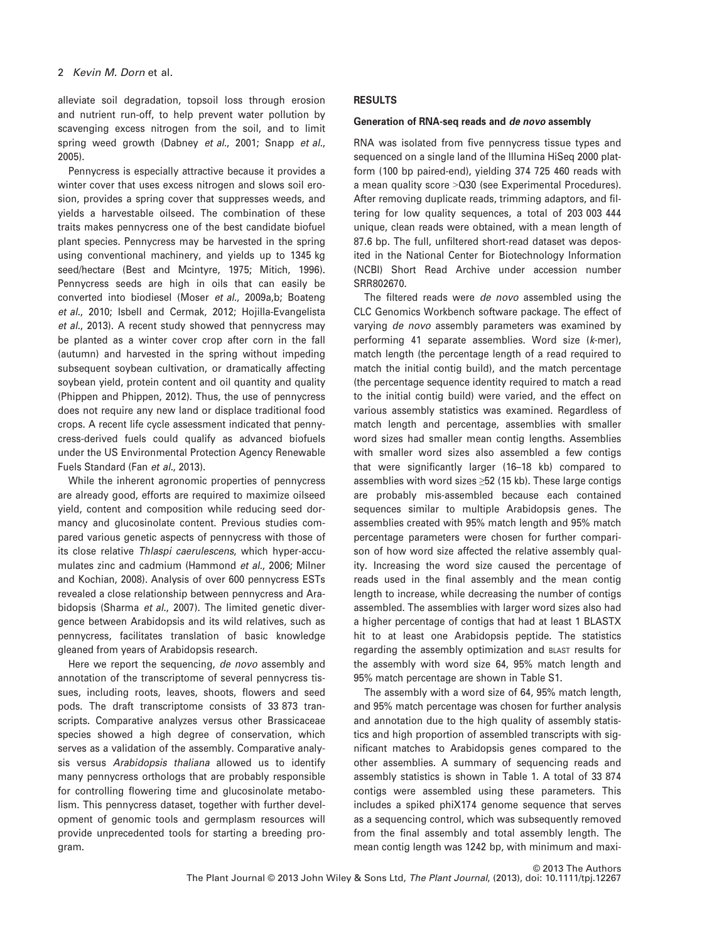alleviate soil degradation, topsoil loss through erosion and nutrient run-off, to help prevent water pollution by scavenging excess nitrogen from the soil, and to limit spring weed growth (Dabney et al., 2001; Snapp et al., 2005).

Pennycress is especially attractive because it provides a winter cover that uses excess nitrogen and slows soil erosion, provides a spring cover that suppresses weeds, and yields a harvestable oilseed. The combination of these traits makes pennycress one of the best candidate biofuel plant species. Pennycress may be harvested in the spring using conventional machinery, and yields up to 1345 kg seed/hectare (Best and Mcintyre, 1975; Mitich, 1996). Pennycress seeds are high in oils that can easily be converted into biodiesel (Moser et al., 2009a,b; Boateng et al., 2010; Isbell and Cermak, 2012; Hojilla-Evangelista et al., 2013). A recent study showed that pennycress may be planted as a winter cover crop after corn in the fall (autumn) and harvested in the spring without impeding subsequent soybean cultivation, or dramatically affecting soybean yield, protein content and oil quantity and quality (Phippen and Phippen, 2012). Thus, the use of pennycress does not require any new land or displace traditional food crops. A recent life cycle assessment indicated that pennycress-derived fuels could qualify as advanced biofuels under the US Environmental Protection Agency Renewable Fuels Standard (Fan et al., 2013).

While the inherent agronomic properties of pennycress are already good, efforts are required to maximize oilseed yield, content and composition while reducing seed dormancy and glucosinolate content. Previous studies compared various genetic aspects of pennycress with those of its close relative Thlaspi caerulescens, which hyper-accumulates zinc and cadmium (Hammond et al., 2006; Milner and Kochian, 2008). Analysis of over 600 pennycress ESTs revealed a close relationship between pennycress and Arabidopsis (Sharma et al., 2007). The limited genetic divergence between Arabidopsis and its wild relatives, such as pennycress, facilitates translation of basic knowledge gleaned from years of Arabidopsis research.

Here we report the sequencing, de novo assembly and annotation of the transcriptome of several pennycress tissues, including roots, leaves, shoots, flowers and seed pods. The draft transcriptome consists of 33 873 transcripts. Comparative analyzes versus other Brassicaceae species showed a high degree of conservation, which serves as a validation of the assembly. Comparative analysis versus Arabidopsis thaliana allowed us to identify many pennycress orthologs that are probably responsible for controlling flowering time and glucosinolate metabolism. This pennycress dataset, together with further development of genomic tools and germplasm resources will provide unprecedented tools for starting a breeding program.

# RESULTS

#### Generation of RNA-seq reads and de novo assembly

RNA was isolated from five pennycress tissue types and sequenced on a single land of the Illumina HiSeq 2000 platform (100 bp paired-end), yielding 374 725 460 reads with a mean quality score >Q30 (see Experimental Procedures). After removing duplicate reads, trimming adaptors, and filtering for low quality sequences, a total of 203 003 444 unique, clean reads were obtained, with a mean length of 87.6 bp. The full, unfiltered short-read dataset was deposited in the National Center for Biotechnology Information (NCBI) Short Read Archive under accession number SRR802670.

The filtered reads were *de novo* assembled using the CLC Genomics Workbench software package. The effect of varying de novo assembly parameters was examined by performing 41 separate assemblies. Word size (k-mer), match length (the percentage length of a read required to match the initial contig build), and the match percentage (the percentage sequence identity required to match a read to the initial contig build) were varied, and the effect on various assembly statistics was examined. Regardless of match length and percentage, assemblies with smaller word sizes had smaller mean contig lengths. Assemblies with smaller word sizes also assembled a few contigs that were significantly larger (16–18 kb) compared to assemblies with word sizes ≥52 (15 kb). These large contigs are probably mis-assembled because each contained sequences similar to multiple Arabidopsis genes. The assemblies created with 95% match length and 95% match percentage parameters were chosen for further comparison of how word size affected the relative assembly quality. Increasing the word size caused the percentage of reads used in the final assembly and the mean contig length to increase, while decreasing the number of contigs assembled. The assemblies with larger word sizes also had a higher percentage of contigs that had at least 1 BLASTX hit to at least one Arabidopsis peptide. The statistics regarding the assembly optimization and BLAST results for the assembly with word size 64, 95% match length and 95% match percentage are shown in Table S1.

The assembly with a word size of 64, 95% match length, and 95% match percentage was chosen for further analysis and annotation due to the high quality of assembly statistics and high proportion of assembled transcripts with significant matches to Arabidopsis genes compared to the other assemblies. A summary of sequencing reads and assembly statistics is shown in Table 1. A total of 33 874 contigs were assembled using these parameters. This includes a spiked phiX174 genome sequence that serves as a sequencing control, which was subsequently removed from the final assembly and total assembly length. The mean contig length was 1242 bp, with minimum and maxi-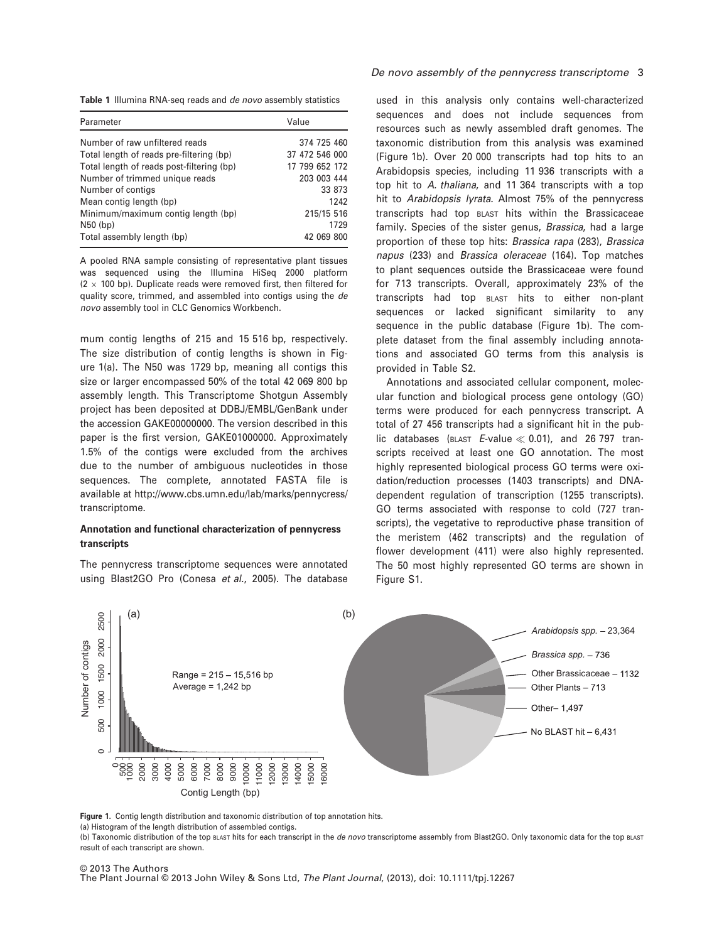Table 1 Illumina RNA-seq reads and de novo assembly statistics

| Parameter                                 | Value          |
|-------------------------------------------|----------------|
| Number of raw unfiltered reads            | 374 725 460    |
| Total length of reads pre-filtering (bp)  | 37 472 546 000 |
| Total length of reads post-filtering (bp) | 17 799 652 172 |
| Number of trimmed unique reads            | 203 003 444    |
| Number of contigs                         | 33 873         |
| Mean contig length (bp)                   | 1242           |
| Minimum/maximum contig length (bp)        | 215/15 516     |
| $N50$ (bp)                                | 1729           |
| Total assembly length (bp)                | 42 069 800     |

A pooled RNA sample consisting of representative plant tissues was sequenced using the Illumina HiSeq 2000 platform  $(2 \times 100$  bp). Duplicate reads were removed first, then filtered for quality score, trimmed, and assembled into contigs using the de novo assembly tool in CLC Genomics Workbench.

mum contig lengths of 215 and 15 516 bp, respectively. The size distribution of contig lengths is shown in Figure 1(a). The N50 was 1729 bp, meaning all contigs this size or larger encompassed 50% of the total 42 069 800 bp assembly length. This Transcriptome Shotgun Assembly project has been deposited at DDBJ/EMBL/GenBank under the accession GAKE00000000. The version described in this paper is the first version, GAKE01000000. Approximately 1.5% of the contigs were excluded from the archives due to the number of ambiguous nucleotides in those sequences. The complete, annotated FASTA file is available at http://www.cbs.umn.edu/lab/marks/pennycress/ transcriptome.

## Annotation and functional characterization of pennycress transcripts

The pennycress transcriptome sequences were annotated using Blast2GO Pro (Conesa et al., 2005). The database

used in this analysis only contains well-characterized sequences and does not include sequences from resources such as newly assembled draft genomes. The taxonomic distribution from this analysis was examined (Figure 1b). Over 20 000 transcripts had top hits to an Arabidopsis species, including 11 936 transcripts with a top hit to A. thaliana, and 11 364 transcripts with a top hit to Arabidopsis lyrata. Almost 75% of the pennycress transcripts had top BLAST hits within the Brassicaceae family. Species of the sister genus, Brassica, had a large proportion of these top hits: Brassica rapa (283), Brassica napus (233) and Brassica oleraceae (164). Top matches to plant sequences outside the Brassicaceae were found for 713 transcripts. Overall, approximately 23% of the transcripts had top BLAST hits to either non-plant sequences or lacked significant similarity to any sequence in the public database (Figure 1b). The complete dataset from the final assembly including annotations and associated GO terms from this analysis is provided in Table S2.

Annotations and associated cellular component, molecular function and biological process gene ontology (GO) terms were produced for each pennycress transcript. A total of 27 456 transcripts had a significant hit in the public databases (BLAST E-value  $\ll$  0.01), and 26 797 transcripts received at least one GO annotation. The most highly represented biological process GO terms were oxidation/reduction processes (1403 transcripts) and DNAdependent regulation of transcription (1255 transcripts). GO terms associated with response to cold (727 transcripts), the vegetative to reproductive phase transition of the meristem (462 transcripts) and the regulation of flower development (411) were also highly represented. The 50 most highly represented GO terms are shown in Figure S1.



Figure 1. Contig length distribution and taxonomic distribution of top annotation hits.

(a) Histogram of the length distribution of assembled contigs.

(b) Taxonomic distribution of the top BLAST hits for each transcript in the de novo transcriptome assembly from Blast2GO. Only taxonomic data for the top BLAST result of each transcript are shown.

#### © 2013 The Authors The Plant Journal © 2013 John Wiley & Sons Ltd, The Plant Journal, (2013), doi: 10.1111/tpj.12267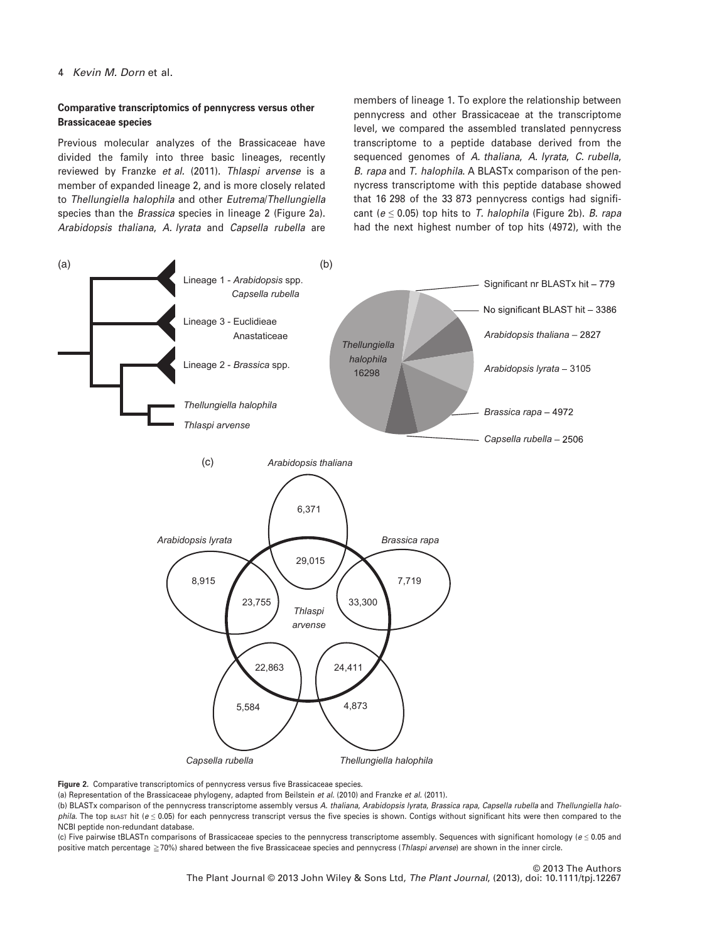# Comparative transcriptomics of pennycress versus other Brassicaceae species

Previous molecular analyzes of the Brassicaceae have divided the family into three basic lineages, recently reviewed by Franzke et al. (2011). Thlaspi arvense is a member of expanded lineage 2, and is more closely related to Thellungiella halophila and other Eutrema/Thellungiella species than the *Brassica* species in lineage 2 (Figure 2a). Arabidopsis thaliana, A. lyrata and Capsella rubella are

members of lineage 1. To explore the relationship between pennycress and other Brassicaceae at the transcriptome level, we compared the assembled translated pennycress transcriptome to a peptide database derived from the sequenced genomes of A. thaliana, A. lyrata, C. rubella, B. rapa and T. halophila. A BLASTx comparison of the pennycress transcriptome with this peptide database showed that 16 298 of the 33 873 pennycress contigs had significant ( $e \le 0.05$ ) top hits to T. halophila (Figure 2b). B. rapa had the next highest number of top hits (4972), with the



Figure 2. Comparative transcriptomics of pennycress versus five Brassicaceae species.

(a) Representation of the Brassicaceae phylogeny, adapted from Beilstein et al. (2010) and Franzke et al. (2011).

(b) BLASTx comparison of the pennycress transcriptome assembly versus A. thaliana, Arabidopsis lyrata, Brassica rapa, Capsella rubella and Thellungiella halophila. The top BLAST hit ( $e \le 0.05$ ) for each pennycress transcript versus the five species is shown. Contigs without significant hits were then compared to the NCBI peptide non-redundant database.

(c) Five pairwise tBLASTn comparisons of Brassicaceae species to the pennycress transcriptome assembly. Sequences with significant homology (e ≤ 0.05 and positive match percentage  $\geq$  70%) shared between the five Brassicaceae species and pennycress (Thlaspi arvense) are shown in the inner circle.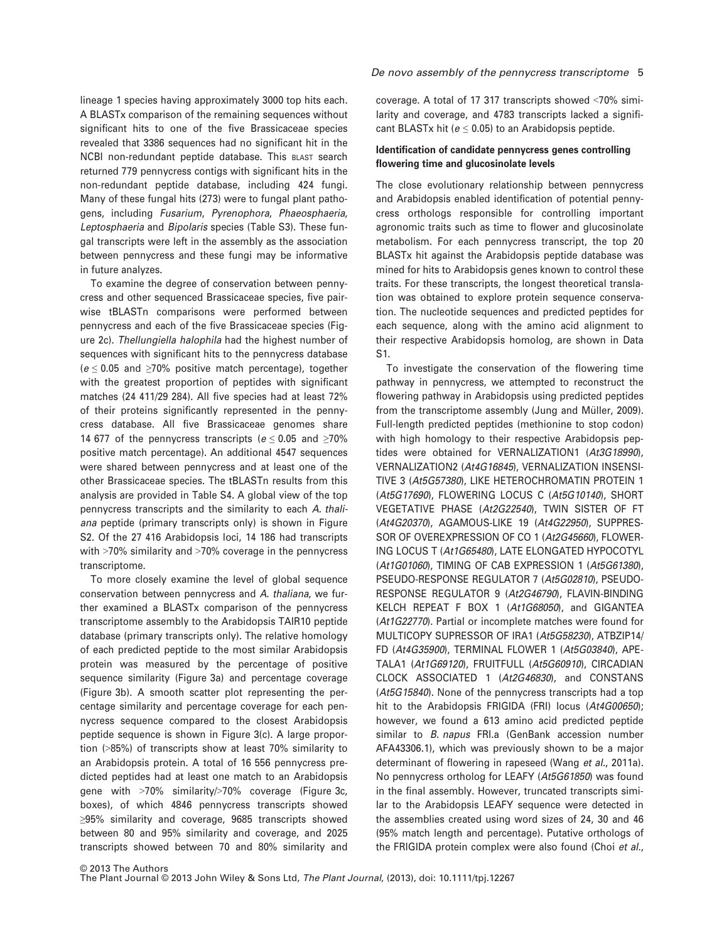lineage 1 species having approximately 3000 top hits each. A BLASTx comparison of the remaining sequences without significant hits to one of the five Brassicaceae species revealed that 3386 sequences had no significant hit in the NCBI non-redundant peptide database. This BLAST search returned 779 pennycress contigs with significant hits in the non-redundant peptide database, including 424 fungi. Many of these fungal hits (273) were to fungal plant pathogens, including Fusarium, Pyrenophora, Phaeosphaeria, Leptosphaeria and Bipolaris species (Table S3). These fungal transcripts were left in the assembly as the association between pennycress and these fungi may be informative in future analyzes.

To examine the degree of conservation between pennycress and other sequenced Brassicaceae species, five pairwise tBLASTn comparisons were performed between pennycress and each of the five Brassicaceae species (Figure 2c). Thellungiella halophila had the highest number of sequences with significant hits to the pennycress database  $(e \le 0.05$  and  $\ge 70\%$  positive match percentage), together with the greatest proportion of peptides with significant matches (24 411/29 284). All five species had at least 72% of their proteins significantly represented in the pennycress database. All five Brassicaceae genomes share 14 677 of the pennycress transcripts ( $e \le 0.05$  and  $\ge 70\%$ positive match percentage). An additional 4547 sequences were shared between pennycress and at least one of the other Brassicaceae species. The tBLASTn results from this analysis are provided in Table S4. A global view of the top pennycress transcripts and the similarity to each A. thaliana peptide (primary transcripts only) is shown in Figure S2. Of the 27 416 Arabidopsis loci, 14 186 had transcripts with >70% similarity and >70% coverage in the pennycress transcriptome.

To more closely examine the level of global sequence conservation between pennycress and A. thaliana, we further examined a BLASTx comparison of the pennycress transcriptome assembly to the Arabidopsis TAIR10 peptide database (primary transcripts only). The relative homology of each predicted peptide to the most similar Arabidopsis protein was measured by the percentage of positive sequence similarity (Figure 3a) and percentage coverage (Figure 3b). A smooth scatter plot representing the percentage similarity and percentage coverage for each pennycress sequence compared to the closest Arabidopsis peptide sequence is shown in Figure 3(c). A large proportion (>85%) of transcripts show at least 70% similarity to an Arabidopsis protein. A total of 16 556 pennycress predicted peptides had at least one match to an Arabidopsis gene with >70% similarity/>70% coverage (Figure 3c, boxes), of which 4846 pennycress transcripts showed ≥95% similarity and coverage, 9685 transcripts showed between 80 and 95% similarity and coverage, and 2025 transcripts showed between 70 and 80% similarity and coverage. A total of 17 317 transcripts showed <70% similarity and coverage, and 4783 transcripts lacked a significant BLASTx hit ( $e \leq 0.05$ ) to an Arabidopsis peptide.

## Identification of candidate pennycress genes controlling flowering time and glucosinolate levels

The close evolutionary relationship between pennycress and Arabidopsis enabled identification of potential pennycress orthologs responsible for controlling important agronomic traits such as time to flower and glucosinolate metabolism. For each pennycress transcript, the top 20 BLASTx hit against the Arabidopsis peptide database was mined for hits to Arabidopsis genes known to control these traits. For these transcripts, the longest theoretical translation was obtained to explore protein sequence conservation. The nucleotide sequences and predicted peptides for each sequence, along with the amino acid alignment to their respective Arabidopsis homolog, are shown in Data S1.

To investigate the conservation of the flowering time pathway in pennycress, we attempted to reconstruct the flowering pathway in Arabidopsis using predicted peptides from the transcriptome assembly (Jung and Müller, 2009). Full-length predicted peptides (methionine to stop codon) with high homology to their respective Arabidopsis peptides were obtained for VERNALIZATION1 (At3G18990), VERNALIZATION2 (At4G16845), VERNALIZATION INSENSI-TIVE 3 (At5G57380), LIKE HETEROCHROMATIN PROTEIN 1 (At5G17690), FLOWERING LOCUS C (At5G10140), SHORT VEGETATIVE PHASE (At2G22540), TWIN SISTER OF FT (At4G20370), AGAMOUS-LIKE 19 (At4G22950), SUPPRES-SOR OF OVEREXPRESSION OF CO 1 (At2G45660), FLOWER-ING LOCUS T (At1G65480), LATE ELONGATED HYPOCOTYL (At1G01060), TIMING OF CAB EXPRESSION 1 (At5G61380), PSEUDO-RESPONSE REGULATOR 7 (At5G02810), PSEUDO-RESPONSE REGULATOR 9 (At2G46790), FLAVIN-BINDING KELCH REPEAT F BOX 1 (At1G68050), and GIGANTEA (At1G22770). Partial or incomplete matches were found for MULTICOPY SUPRESSOR OF IRA1 (At5G58230), ATBZIP14/ FD (At4G35900), TERMINAL FLOWER 1 (At5G03840), APE-TALA1 (At1G69120), FRUITFULL (At5G60910), CIRCADIAN CLOCK ASSOCIATED 1 (At2G46830), and CONSTANS (At5G15840). None of the pennycress transcripts had a top hit to the Arabidopsis FRIGIDA (FRI) locus (At4G00650); however, we found a 613 amino acid predicted peptide similar to *B. napus* FRI.a (GenBank accession number AFA43306.1), which was previously shown to be a major determinant of flowering in rapeseed (Wang et al., 2011a). No pennycress ortholog for LEAFY (At5G61850) was found in the final assembly. However, truncated transcripts similar to the Arabidopsis LEAFY sequence were detected in the assemblies created using word sizes of 24, 30 and 46 (95% match length and percentage). Putative orthologs of the FRIGIDA protein complex were also found (Choi et al.,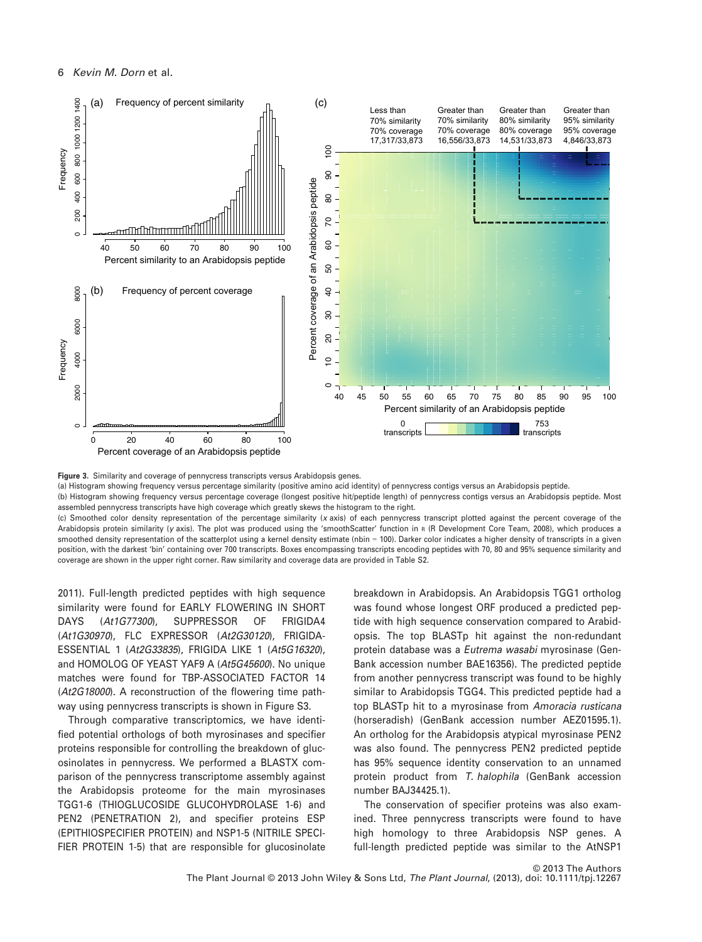

Figure 3. Similarity and coverage of pennycress transcripts versus Arabidopsis genes.

(a) Histogram showing frequency versus percentage similarity (positive amino acid identity) of pennycress contigs versus an Arabidopsis peptide.

(b) Histogram showing frequency versus percentage coverage (longest positive hit/peptide length) of pennycress contigs versus an Arabidopsis peptide. Most assembled pennycress transcripts have high coverage which greatly skews the histogram to the right.

(c) Smoothed color density representation of the percentage similarity (x axis) of each pennycress transcript plotted against the percent coverage of the Arabidopsis protein similarity (y axis). The plot was produced using the 'smoothScatter' function in <sup>R</sup> (R Development Core Team, 2008), which produces a smoothed density representation of the scatterplot using a kernel density estimate (nbin = 100). Darker color indicates a higher density of transcripts in a given position, with the darkest 'bin' containing over 700 transcripts. Boxes encompassing transcripts encoding peptides with 70, 80 and 95% sequence similarity and coverage are shown in the upper right corner. Raw similarity and coverage data are provided in Table S2.

2011). Full-length predicted peptides with high sequence similarity were found for EARLY FLOWERING IN SHORT DAYS (At1G77300), SUPPRESSOR OF FRIGIDA4 (At1G30970), FLC EXPRESSOR (At2G30120), FRIGIDA-ESSENTIAL 1 (At2G33835), FRIGIDA LIKE 1 (At5G16320), and HOMOLOG OF YEAST YAF9 A (At5G45600). No unique matches were found for TBP-ASSOCIATED FACTOR 14 (At2G18000). A reconstruction of the flowering time pathway using pennycress transcripts is shown in Figure S3.

Through comparative transcriptomics, we have identified potential orthologs of both myrosinases and specifier proteins responsible for controlling the breakdown of glucosinolates in pennycress. We performed a BLASTX comparison of the pennycress transcriptome assembly against the Arabidopsis proteome for the main myrosinases TGG1-6 (THIOGLUCOSIDE GLUCOHYDROLASE 1-6) and PEN2 (PENETRATION 2), and specifier proteins ESP (EPITHIOSPECIFIER PROTEIN) and NSP1-5 (NITRILE SPECI-FIER PROTEIN 1-5) that are responsible for glucosinolate

breakdown in Arabidopsis. An Arabidopsis TGG1 ortholog was found whose longest ORF produced a predicted peptide with high sequence conservation compared to Arabidopsis. The top BLASTp hit against the non-redundant protein database was a Eutrema wasabi myrosinase (Gen-Bank accession number BAE16356). The predicted peptide from another pennycress transcript was found to be highly similar to Arabidopsis TGG4. This predicted peptide had a top BLASTp hit to a myrosinase from Amoracia rusticana (horseradish) (GenBank accession number AEZ01595.1). An ortholog for the Arabidopsis atypical myrosinase PEN2 was also found. The pennycress PEN2 predicted peptide has 95% sequence identity conservation to an unnamed protein product from T. halophila (GenBank accession number BAJ34425.1).

The conservation of specifier proteins was also examined. Three pennycress transcripts were found to have high homology to three Arabidopsis NSP genes. A full-length predicted peptide was similar to the AtNSP1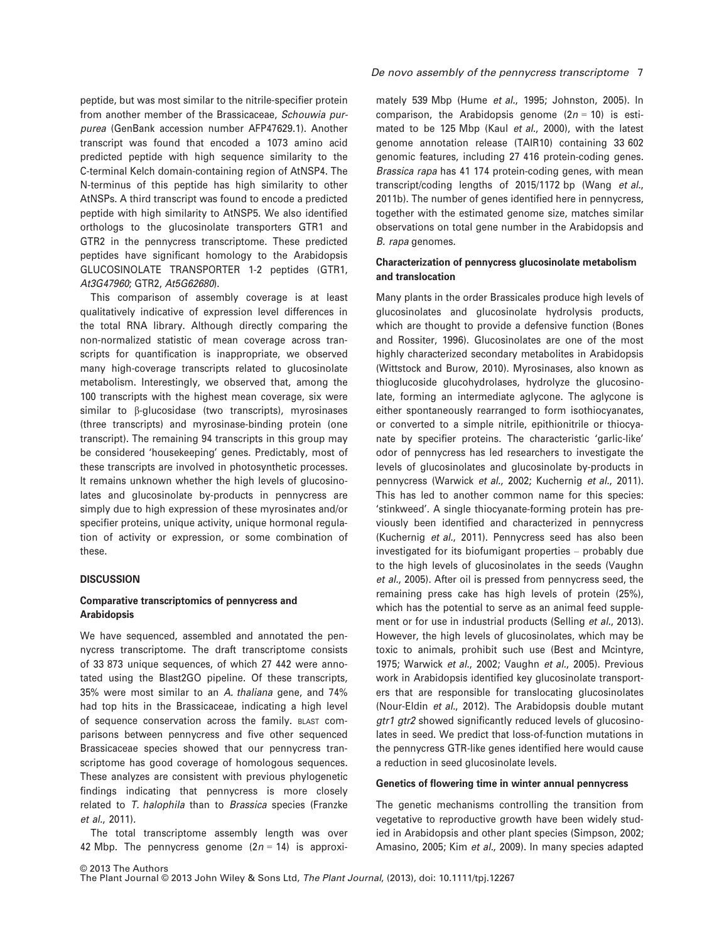peptide, but was most similar to the nitrile-specifier protein from another member of the Brassicaceae, Schouwia purpurea (GenBank accession number AFP47629.1). Another transcript was found that encoded a 1073 amino acid predicted peptide with high sequence similarity to the C-terminal Kelch domain-containing region of AtNSP4. The N-terminus of this peptide has high similarity to other AtNSPs. A third transcript was found to encode a predicted peptide with high similarity to AtNSP5. We also identified orthologs to the glucosinolate transporters GTR1 and GTR2 in the pennycress transcriptome. These predicted peptides have significant homology to the Arabidopsis GLUCOSINOLATE TRANSPORTER 1-2 peptides (GTR1, At3G47960; GTR2, At5G62680).

This comparison of assembly coverage is at least qualitatively indicative of expression level differences in the total RNA library. Although directly comparing the non-normalized statistic of mean coverage across transcripts for quantification is inappropriate, we observed many high-coverage transcripts related to glucosinolate metabolism. Interestingly, we observed that, among the 100 transcripts with the highest mean coverage, six were similar to  $\beta$ -glucosidase (two transcripts), myrosinases (three transcripts) and myrosinase-binding protein (one transcript). The remaining 94 transcripts in this group may be considered 'housekeeping' genes. Predictably, most of these transcripts are involved in photosynthetic processes. It remains unknown whether the high levels of glucosinolates and glucosinolate by-products in pennycress are simply due to high expression of these myrosinates and/or specifier proteins, unique activity, unique hormonal regulation of activity or expression, or some combination of these.

#### **DISCUSSION**

# Comparative transcriptomics of pennycress and Arabidopsis

We have sequenced, assembled and annotated the pennycress transcriptome. The draft transcriptome consists of 33 873 unique sequences, of which 27 442 were annotated using the Blast2GO pipeline. Of these transcripts, 35% were most similar to an A. thaliana gene, and 74% had top hits in the Brassicaceae, indicating a high level of sequence conservation across the family. BLAST comparisons between pennycress and five other sequenced Brassicaceae species showed that our pennycress transcriptome has good coverage of homologous sequences. These analyzes are consistent with previous phylogenetic findings indicating that pennycress is more closely related to T. halophila than to Brassica species (Franzke et al., 2011).

The total transcriptome assembly length was over 42 Mbp. The pennycress genome  $(2n = 14)$  is approxi-

#### De novo assembly of the pennycress transcriptome 7

mately 539 Mbp (Hume et al., 1995; Johnston, 2005). In comparison, the Arabidopsis genome  $(2n = 10)$  is estimated to be 125 Mbp (Kaul et al., 2000), with the latest genome annotation release (TAIR10) containing 33 602 genomic features, including 27 416 protein-coding genes. Brassica rapa has 41 174 protein-coding genes, with mean transcript/coding lengths of 2015/1172 bp (Wang et al., 2011b). The number of genes identified here in pennycress, together with the estimated genome size, matches similar observations on total gene number in the Arabidopsis and B. rapa genomes.

## Characterization of pennycress glucosinolate metabolism and translocation

Many plants in the order Brassicales produce high levels of glucosinolates and glucosinolate hydrolysis products, which are thought to provide a defensive function (Bones and Rossiter, 1996). Glucosinolates are one of the most highly characterized secondary metabolites in Arabidopsis (Wittstock and Burow, 2010). Myrosinases, also known as thioglucoside glucohydrolases, hydrolyze the glucosinolate, forming an intermediate aglycone. The aglycone is either spontaneously rearranged to form isothiocyanates, or converted to a simple nitrile, epithionitrile or thiocyanate by specifier proteins. The characteristic 'garlic-like' odor of pennycress has led researchers to investigate the levels of glucosinolates and glucosinolate by-products in pennycress (Warwick et al., 2002; Kuchernig et al., 2011). This has led to another common name for this species: 'stinkweed'. A single thiocyanate-forming protein has previously been identified and characterized in pennycress (Kuchernig et al., 2011). Pennycress seed has also been investigated for its biofumigant properties – probably due to the high levels of glucosinolates in the seeds (Vaughn et al., 2005). After oil is pressed from pennycress seed, the remaining press cake has high levels of protein (25%), which has the potential to serve as an animal feed supplement or for use in industrial products (Selling et al., 2013). However, the high levels of glucosinolates, which may be toxic to animals, prohibit such use (Best and Mcintyre, 1975; Warwick et al., 2002; Vaughn et al., 2005). Previous work in Arabidopsis identified key glucosinolate transporters that are responsible for translocating glucosinolates (Nour-Eldin et al., 2012). The Arabidopsis double mutant gtr1 gtr2 showed significantly reduced levels of glucosinolates in seed. We predict that loss-of-function mutations in the pennycress GTR-like genes identified here would cause a reduction in seed glucosinolate levels.

#### Genetics of flowering time in winter annual pennycress

The genetic mechanisms controlling the transition from vegetative to reproductive growth have been widely studied in Arabidopsis and other plant species (Simpson, 2002; Amasino, 2005; Kim et al., 2009). In many species adapted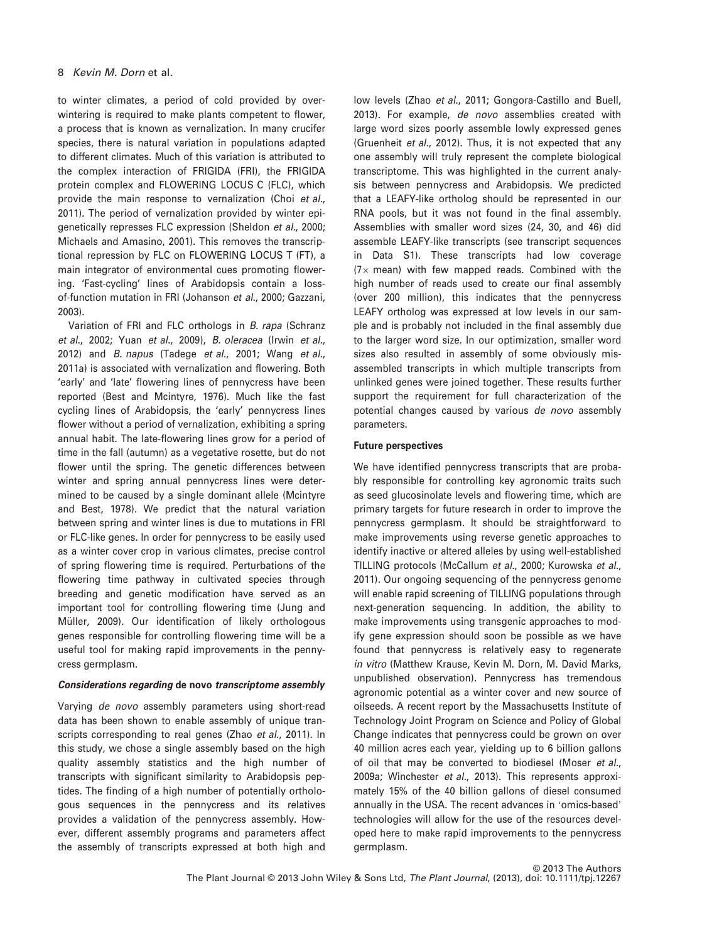to winter climates, a period of cold provided by overwintering is required to make plants competent to flower, a process that is known as vernalization. In many crucifer species, there is natural variation in populations adapted to different climates. Much of this variation is attributed to the complex interaction of FRIGIDA (FRI), the FRIGIDA protein complex and FLOWERING LOCUS C (FLC), which provide the main response to vernalization (Choi et al., 2011). The period of vernalization provided by winter epigenetically represses FLC expression (Sheldon et al., 2000; Michaels and Amasino, 2001). This removes the transcriptional repression by FLC on FLOWERING LOCUS T (FT), a main integrator of environmental cues promoting flowering. 'Fast-cycling' lines of Arabidopsis contain a lossof-function mutation in FRI (Johanson et al., 2000; Gazzani, 2003).

Variation of FRI and FLC orthologs in B. rapa (Schranz et al., 2002; Yuan et al., 2009), B. oleracea (Irwin et al., 2012) and *B. napus* (Tadege et al., 2001; Wang et al., 2011a) is associated with vernalization and flowering. Both 'early' and 'late' flowering lines of pennycress have been reported (Best and Mcintyre, 1976). Much like the fast cycling lines of Arabidopsis, the 'early' pennycress lines flower without a period of vernalization, exhibiting a spring annual habit. The late-flowering lines grow for a period of time in the fall (autumn) as a vegetative rosette, but do not flower until the spring. The genetic differences between winter and spring annual pennycress lines were determined to be caused by a single dominant allele (Mcintyre and Best, 1978). We predict that the natural variation between spring and winter lines is due to mutations in FRI or FLC-like genes. In order for pennycress to be easily used as a winter cover crop in various climates, precise control of spring flowering time is required. Perturbations of the flowering time pathway in cultivated species through breeding and genetic modification have served as an important tool for controlling flowering time (Jung and Müller, 2009). Our identification of likely orthologous genes responsible for controlling flowering time will be a useful tool for making rapid improvements in the pennycress germplasm.

#### Considerations regarding de novo transcriptome assembly

Varying de novo assembly parameters using short-read data has been shown to enable assembly of unique transcripts corresponding to real genes (Zhao et al., 2011). In this study, we chose a single assembly based on the high quality assembly statistics and the high number of transcripts with significant similarity to Arabidopsis peptides. The finding of a high number of potentially orthologous sequences in the pennycress and its relatives provides a validation of the pennycress assembly. However, different assembly programs and parameters affect the assembly of transcripts expressed at both high and low levels (Zhao et al., 2011; Gongora-Castillo and Buell, 2013). For example, de novo assemblies created with large word sizes poorly assemble lowly expressed genes (Gruenheit et al., 2012). Thus, it is not expected that any one assembly will truly represent the complete biological transcriptome. This was highlighted in the current analysis between pennycress and Arabidopsis. We predicted that a LEAFY-like ortholog should be represented in our RNA pools, but it was not found in the final assembly. Assemblies with smaller word sizes (24, 30, and 46) did assemble LEAFY-like transcripts (see transcript sequences in Data S1). These transcripts had low coverage  $(7\times$  mean) with few mapped reads. Combined with the high number of reads used to create our final assembly (over 200 million), this indicates that the pennycress LEAFY ortholog was expressed at low levels in our sample and is probably not included in the final assembly due to the larger word size. In our optimization, smaller word sizes also resulted in assembly of some obviously misassembled transcripts in which multiple transcripts from unlinked genes were joined together. These results further support the requirement for full characterization of the potential changes caused by various de novo assembly parameters.

#### Future perspectives

We have identified pennycress transcripts that are probably responsible for controlling key agronomic traits such as seed glucosinolate levels and flowering time, which are primary targets for future research in order to improve the pennycress germplasm. It should be straightforward to make improvements using reverse genetic approaches to identify inactive or altered alleles by using well-established TILLING protocols (McCallum et al., 2000; Kurowska et al., 2011). Our ongoing sequencing of the pennycress genome will enable rapid screening of TILLING populations through next-generation sequencing. In addition, the ability to make improvements using transgenic approaches to modify gene expression should soon be possible as we have found that pennycress is relatively easy to regenerate in vitro (Matthew Krause, Kevin M. Dorn, M. David Marks, unpublished observation). Pennycress has tremendous agronomic potential as a winter cover and new source of oilseeds. A recent report by the Massachusetts Institute of Technology Joint Program on Science and Policy of Global Change indicates that pennycress could be grown on over 40 million acres each year, yielding up to 6 billion gallons of oil that may be converted to biodiesel (Moser et al., 2009a; Winchester et al., 2013). This represents approximately 15% of the 40 billion gallons of diesel consumed annually in the USA. The recent advances in 'omics-based' technologies will allow for the use of the resources developed here to make rapid improvements to the pennycress germplasm.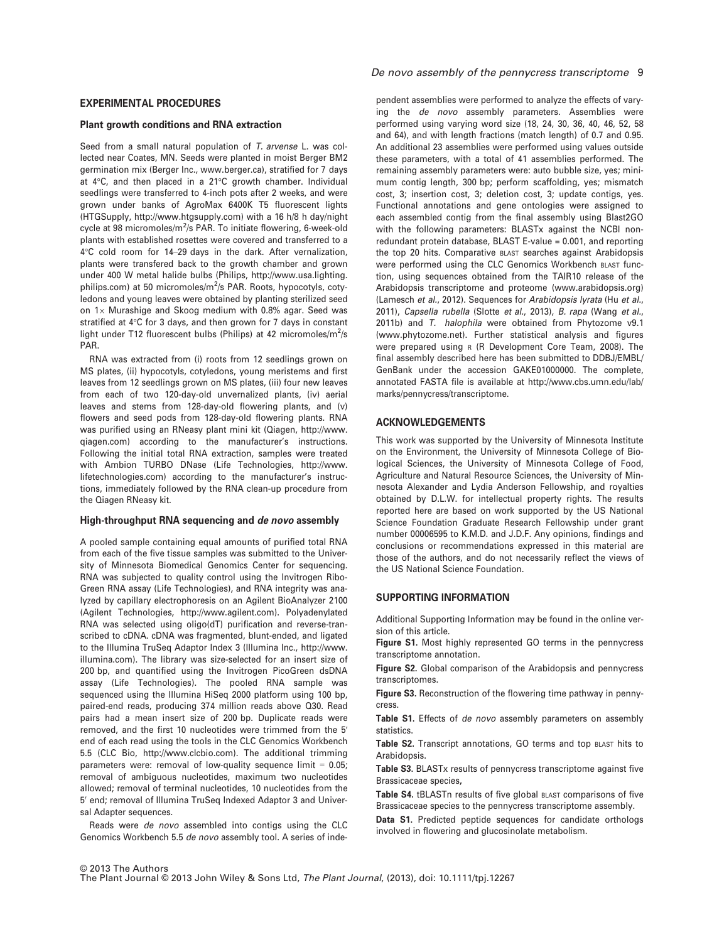#### EXPERIMENTAL PROCEDURES

#### Plant growth conditions and RNA extraction

Seed from a small natural population of T. arvense L. was collected near Coates, MN. Seeds were planted in moist Berger BM2 germination mix (Berger Inc., www.berger.ca), stratified for 7 days at 4°C, and then placed in a 21°C growth chamber. Individual seedlings were transferred to 4-inch pots after 2 weeks, and were grown under banks of AgroMax 6400K T5 fluorescent lights (HTGSupply, http://www.htgsupply.com) with a 16 h/8 h day/night cycle at 98 micromoles/m<sup>2</sup>/s PAR. To initiate flowering, 6-week-old plants with established rosettes were covered and transferred to a 4°C cold room for 14–29 days in the dark. After vernalization, plants were transfered back to the growth chamber and grown under 400 W metal halide bulbs (Philips, http://www.usa.lighting. philips.com) at 50 micromoles/m<sup>2</sup>/s PAR. Roots, hypocotyls, cotyledons and young leaves were obtained by planting sterilized seed on  $1\times$  Murashige and Skoog medium with 0.8% agar. Seed was stratified at 4°C for 3 days, and then grown for 7 days in constant light under T12 fluorescent bulbs (Philips) at 42 micromoles/m<sup>2</sup>/s PAR.

RNA was extracted from (i) roots from 12 seedlings grown on MS plates, (ii) hypocotyls, cotyledons, young meristems and first leaves from 12 seedlings grown on MS plates, (iii) four new leaves from each of two 120-day-old unvernalized plants, (iv) aerial leaves and stems from 128-day-old flowering plants, and (v) flowers and seed pods from 128-day-old flowering plants. RNA was purified using an RNeasy plant mini kit (Qiagen, http://www. qiagen.com) according to the manufacturer's instructions. Following the initial total RNA extraction, samples were treated with Ambion TURBO DNase (Life Technologies, http://www. lifetechnologies.com) according to the manufacturer's instructions, immediately followed by the RNA clean-up procedure from the Qiagen RNeasy kit.

#### High-throughput RNA sequencing and de novo assembly

A pooled sample containing equal amounts of purified total RNA from each of the five tissue samples was submitted to the University of Minnesota Biomedical Genomics Center for sequencing. RNA was subjected to quality control using the Invitrogen Ribo-Green RNA assay (Life Technologies), and RNA integrity was analyzed by capillary electrophoresis on an Agilent BioAnalyzer 2100 (Agilent Technologies, http://www.agilent.com). Polyadenylated RNA was selected using oligo(dT) purification and reverse-transcribed to cDNA. cDNA was fragmented, blunt-ended, and ligated to the Illumina TruSeq Adaptor Index 3 (Illumina Inc., http://www. illumina.com). The library was size-selected for an insert size of 200 bp, and quantified using the Invitrogen PicoGreen dsDNA assay (Life Technologies). The pooled RNA sample was sequenced using the Illumina HiSeq 2000 platform using 100 bp, paired-end reads, producing 374 million reads above Q30. Read pairs had a mean insert size of 200 bp. Duplicate reads were removed, and the first 10 nucleotides were trimmed from the 5′ end of each read using the tools in the CLC Genomics Workbench 5.5 (CLC Bio, http://www.clcbio.com). The additional trimming parameters were: removal of low-quality sequence limit  $= 0.05$ ; removal of ambiguous nucleotides, maximum two nucleotides allowed; removal of terminal nucleotides, 10 nucleotides from the 5' end; removal of Illumina TruSeq Indexed Adaptor 3 and Universal Adapter sequences.

Reads were de novo assembled into contigs using the CLC Genomics Workbench 5.5 de novo assembly tool. A series of inde-

pendent assemblies were performed to analyze the effects of varying the de novo assembly parameters. Assemblies were performed using varying word size (18, 24, 30, 36, 40, 46, 52, 58 and 64), and with length fractions (match length) of 0.7 and 0.95. An additional 23 assemblies were performed using values outside these parameters, with a total of 41 assemblies performed. The remaining assembly parameters were: auto bubble size, yes; minimum contig length, 300 bp; perform scaffolding, yes; mismatch cost, 3; insertion cost, 3; deletion cost, 3; update contigs, yes. Functional annotations and gene ontologies were assigned to each assembled contig from the final assembly using Blast2GO with the following parameters: BLASTx against the NCBI nonredundant protein database, BLAST E-value = 0.001, and reporting the top 20 hits. Comparative BLAST searches against Arabidopsis were performed using the CLC Genomics Workbench BLAST function, using sequences obtained from the TAIR10 release of the Arabidopsis transcriptome and proteome (www.arabidopsis.org) (Lamesch et al., 2012). Sequences for Arabidopsis lyrata (Hu et al., 2011), Capsella rubella (Slotte et al., 2013), B. rapa (Wang et al., 2011b) and T. halophila were obtained from Phytozome v9.1 (www.phytozome.net). Further statistical analysis and figures were prepared using <sup>R</sup> (R Development Core Team, 2008). The final assembly described here has been submitted to DDBJ/EMBL/ GenBank under the accession GAKE01000000. The complete, annotated FASTA file is available at http://www.cbs.umn.edu/lab/ marks/pennycress/transcriptome.

#### ACKNOWLEDGEMENTS

This work was supported by the University of Minnesota Institute on the Environment, the University of Minnesota College of Biological Sciences, the University of Minnesota College of Food, Agriculture and Natural Resource Sciences, the University of Minnesota Alexander and Lydia Anderson Fellowship, and royalties obtained by D.L.W. for intellectual property rights. The results reported here are based on work supported by the US National Science Foundation Graduate Research Fellowship under grant number 00006595 to K.M.D. and J.D.F. Any opinions, findings and conclusions or recommendations expressed in this material are those of the authors, and do not necessarily reflect the views of the US National Science Foundation.

## SUPPORTING INFORMATION

Additional Supporting Information may be found in the online version of this article.

Figure S1. Most highly represented GO terms in the pennycress transcriptome annotation.

Figure S2. Global comparison of the Arabidopsis and pennycress transcriptomes.

Figure S3. Reconstruction of the flowering time pathway in pennycress.

Table S1. Effects of de novo assembly parameters on assembly statistics.

Table S2. Transcript annotations, GO terms and top BLAST hits to Arabidopsis.

Table S3. BLASTx results of pennycress transcriptome against five Brassicaceae species,

Table S4. tBLASTn results of five global BLAST comparisons of five Brassicaceae species to the pennycress transcriptome assembly.

Data S1. Predicted peptide sequences for candidate orthologs involved in flowering and glucosinolate metabolism.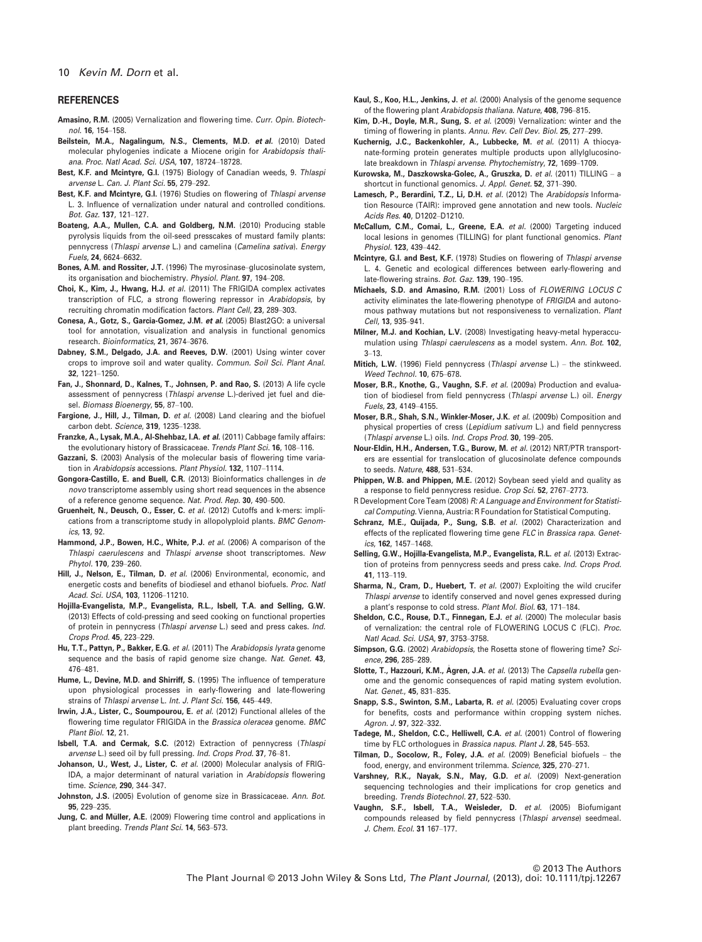#### 10 Kevin M. Dorn et al.

#### **REFERENCES**

- Amasino, R.M. (2005) Vernalization and flowering time. Curr. Opin. Biotechnol. 16, 154–158.
- Beilstein, M.A., Nagalingum, N.S., Clements, M.D. et al. (2010) Dated molecular phylogenies indicate a Miocene origin for Arabidopsis thaliana. Proc. Natl Acad. Sci. USA, 107, 18724–18728.
- Best, K.F. and Mcintyre, G.I. (1975) Biology of Canadian weeds, 9. Thlaspi arvense L. Can. J. Plant Sci. 55, 279–292.
- Best, K.F. and Mcintyre, G.I. (1976) Studies on flowering of Thlaspi arvense L. 3. Influence of vernalization under natural and controlled conditions. Bot. Gaz. 137, 121–127.
- Boateng, A.A., Mullen, C.A. and Goldberg, N.M. (2010) Producing stable pyrolysis liquids from the oil-seed presscakes of mustard family plants: pennycress (Thlaspi arvense L.) and camelina (Camelina sativa). Energy Fuels, 24, 6624–6632.
- Bones, A.M. and Rossiter, J.T. (1996) The myrosinase–glucosinolate system, its organisation and biochemistry. Physiol. Plant. 97, 194–208.
- Choi, K., Kim, J., Hwang, H.J. et al. (2011) The FRIGIDA complex activates transcription of FLC, a strong flowering repressor in Arabidopsis, by recruiting chromatin modification factors. Plant Cell, 23, 289–303.
- Conesa, A., Gotz, S., Garcia-Gomez, J.M. et al. (2005) Blast2GO: a universal tool for annotation, visualization and analysis in functional genomics research. Bioinformatics, 21, 3674–3676.
- Dabney, S.M., Delgado, J.A. and Reeves, D.W. (2001) Using winter cover crops to improve soil and water quality. Commun. Soil Sci. Plant Anal. 32, 1221–1250.
- Fan, J., Shonnard, D., Kalnes, T., Johnsen, P. and Rao, S. (2013) A life cycle assessment of pennycress (Thlaspi arvense L.)-derived jet fuel and diesel. Biomass Bioenergy, 55, 87–100.
- Fargione, J., Hill, J., Tilman, D. et al. (2008) Land clearing and the biofuel carbon debt. Science, 319, 1235–1238.
- Franzke, A., Lysak, M.A., Al-Shehbaz, I.A. et al. (2011) Cabbage family affairs: the evolutionary history of Brassicaceae. Trends Plant Sci. 16, 108-116.
- Gazzani, S. (2003) Analysis of the molecular basis of flowering time variation in Arabidopsis accessions. Plant Physiol. 132, 1107-1114.
- Gongora-Castillo, E. and Buell, C.R. (2013) Bioinformatics challenges in de novo transcriptome assembly using short read sequences in the absence of a reference genome sequence. Nat. Prod. Rep. 30, 490–500.
- Gruenheit, N., Deusch, O., Esser, C. et al. (2012) Cutoffs and k-mers: implications from a transcriptome study in allopolyploid plants. BMC Genomics, 13, 92.
- Hammond, J.P., Bowen, H.C., White, P.J. et al. (2006) A comparison of the Thlaspi caerulescens and Thlaspi arvense shoot transcriptomes. New Phytol. 170, 239–260.
- Hill, J., Nelson, E., Tilman, D. et al. (2006) Environmental, economic, and energetic costs and benefits of biodiesel and ethanol biofuels. Proc. Natl Acad. Sci. USA, 103, 11206–11210.
- Hojilla-Evangelista, M.P., Evangelista, R.L., Isbell, T.A. and Selling, G.W. (2013) Effects of cold-pressing and seed cooking on functional properties of protein in pennycress (Thlaspi arvense L.) seed and press cakes. Ind. Crops Prod. 45, 223–229.
- Hu, T.T., Pattyn, P., Bakker, E.G. et al. (2011) The Arabidopsis lyrata genome sequence and the basis of rapid genome size change. Nat. Genet. 43, 476–481.
- Hume, L., Devine, M.D. and Shirriff, S. (1995) The influence of temperature upon physiological processes in early-flowering and late-flowering strains of Thlaspi arvense L. Int. J. Plant Sci. 156, 445–449.
- Irwin, J.A., Lister, C., Soumpourou, E. et al. (2012) Functional alleles of the flowering time regulator FRIGIDA in the Brassica oleracea genome. BMC Plant Biol. 12, 21.
- Isbell, T.A. and Cermak, S.C. (2012) Extraction of pennycress (Thlaspi arvense L.) seed oil by full pressing. Ind. Crops Prod. 37, 76–81.
- Johanson, U., West, J., Lister, C. et al. (2000) Molecular analysis of FRIG-IDA, a major determinant of natural variation in Arabidopsis flowering time. Science, 290, 344–347.
- Johnston, J.S. (2005) Evolution of genome size in Brassicaceae. Ann. Bot. 95, 229–235.
- Jung, C. and Müller, A.E. (2009) Flowering time control and applications in plant breeding. Trends Plant Sci. 14, 563–573.
- Kaul, S., Koo, H.L., Jenkins, J. et al. (2000) Analysis of the genome sequence of the flowering plant Arabidopsis thaliana. Nature, 408, 796–815.
- Kim, D.-H., Doyle, M.R., Sung, S. et al. (2009) Vernalization: winter and the timing of flowering in plants. Annu. Rev. Cell Dev. Biol. 25, 277–299.
- Kuchernig, J.C., Backenkohler, A., Lubbecke, M. et al. (2011) A thiocyanate-forming protein generates multiple products upon allylglucosinolate breakdown in Thlaspi arvense. Phytochemistry, 72, 1699–1709.
- Kurowska, M., Daszkowska-Golec, A., Gruszka, D. et al. (2011) TILLING a shortcut in functional genomics. J. Appl. Genet. 52, 371-390.
- Lamesch, P., Berardini, T.Z., Li, D.H. et al. (2012) The Arabidopsis Information Resource (TAIR): improved gene annotation and new tools. Nucleic Acids Res. 40, D1202–D1210.
- McCallum, C.M., Comai, L., Greene, E.A. et al. (2000) Targeting induced local lesions in genomes (TILLING) for plant functional genomics. Plant Physiol. 123, 439–442.
- Mcintyre, G.I. and Best, K.F. (1978) Studies on flowering of Thlaspi arvense L. 4. Genetic and ecological differences between early-flowering and late-flowering strains. Bot. Gaz. 139, 190–195.
- Michaels, S.D. and Amasino, R.M. (2001) Loss of FLOWERING LOCUS C activity eliminates the late-flowering phenotype of FRIGIDA and autonomous pathway mutations but not responsiveness to vernalization. Plant Cell, 13, 935–941.
- Milner, M.J. and Kochian, L.V. (2008) Investigating heavy-metal hyperaccumulation using Thlaspi caerulescens as a model system. Ann. Bot. 102, 3–13.
- Mitich, L.W. (1996) Field pennycress (Thlaspi arvense L.) the stinkweed. Weed Technol. 10, 675–678.
- Moser, B.R., Knothe, G., Vaughn, S.F. et al. (2009a) Production and evaluation of biodiesel from field pennycress (Thlaspi arvense L.) oil. Energy Fuels, 23, 4149–4155.
- Moser, B.R., Shah, S.N., Winkler-Moser, J.K. et al. (2009b) Composition and physical properties of cress (Lepidium sativum L.) and field pennycress (Thlaspi arvense L.) oils. Ind. Crops Prod. 30, 199–205.
- Nour-Eldin, H.H., Andersen, T.G., Burow, M. et al. (2012) NRT/PTR transporters are essential for translocation of glucosinolate defence compounds to seeds. Nature, 488, 531–534.
- Phippen, W.B. and Phippen, M.E. (2012) Soybean seed yield and quality as a response to field pennycress residue. Crop Sci. 52, 2767–2773.
- R Development Core Team (2008) R: A Language and Environment for Statistical Computing. Vienna, Austria: R Foundation for Statistical Computing.
- Schranz, M.E., Quijada, P., Sung, S.B. et al. (2002) Characterization and effects of the replicated flowering time gene FLC in Brassica rapa. Genetics, 162, 1457–1468.
- Selling, G.W., Hojilla-Evangelista, M.P., Evangelista, R.L. et al. (2013) Extraction of proteins from pennycress seeds and press cake. Ind. Crops Prod. 41, 113–119.
- Sharma, N., Cram, D., Huebert, T. et al. (2007) Exploiting the wild crucifer Thlaspi arvense to identify conserved and novel genes expressed during a plant's response to cold stress. Plant Mol. Biol. 63, 171–184.
- Sheldon, C.C., Rouse, D.T., Finnegan, E.J. et al. (2000) The molecular basis of vernalization: the central role of FLOWERING LOCUS C (FLC). Proc. Natl Acad. Sci. USA, 97, 3753–3758.
- Simpson, G.G. (2002) Arabidopsis, the Rosetta stone of flowering time? Science, 296, 285–289.
- Slotte, T., Hazzouri, K.M., Agren, J.A. et al. (2013) The Capsella rubella genome and the genomic consequences of rapid mating system evolution. Nat. Genet., 45, 831–835.
- Snapp, S.S., Swinton, S.M., Labarta, R. et al. (2005) Evaluating cover crops for benefits, costs and performance within cropping system niches. Agron. J. 97, 322–332.
- Tadege, M., Sheldon, C.C., Helliwell, C.A. et al. (2001) Control of flowering time by FLC orthologues in Brassica napus. Plant J. 28, 545-553.
- Tilman, D., Socolow, R., Foley, J.A. et al. (2009) Beneficial biofuels the food, energy, and environment trilemma. Science, 325, 270–271.
- Varshney, R.K., Nayak, S.N., May, G.D. et al. (2009) Next-generation sequencing technologies and their implications for crop genetics and breeding. Trends Biotechnol. 27, 522–530.
- Vaughn, S.F., Isbell, T.A., Weisleder, D. et al. (2005) Biofumigant compounds released by field pennycress (Thlaspi arvense) seedmeal. J. Chem. Ecol. 31 167–177.